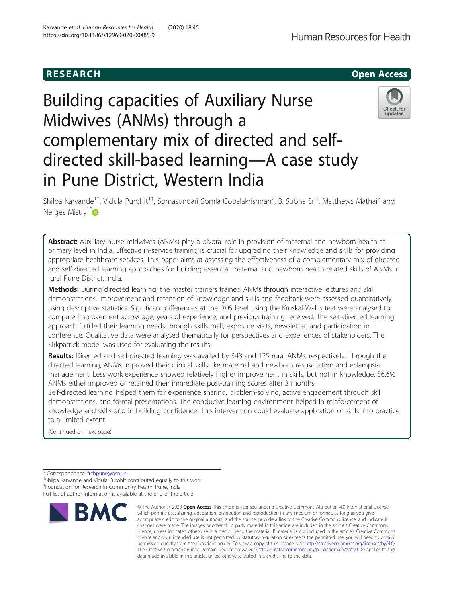

# Building capacities of Auxiliary Nurse Midwives (ANMs) through a complementary mix of directed and selfdirected skill-based learning—A case study in Pune District, Western India



Shilpa Karvande<sup>1+</sup>, Vidula Purohit<sup>1+</sup>, Somasundari Somla Gopalakrishnan<sup>2</sup>, B. Subha Sri<sup>2</sup>, Matthews Mathai<sup>2</sup> and Nerges Mistry<sup>1\*</sup>

Abstract: Auxiliary nurse midwives (ANMs) play a pivotal role in provision of maternal and newborn health at primary level in India. Effective in-service training is crucial for upgrading their knowledge and skills for providing appropriate healthcare services. This paper aims at assessing the effectiveness of a complementary mix of directed and self-directed learning approaches for building essential maternal and newborn health-related skills of ANMs in rural Pune District, India.

Methods: During directed learning, the master trainers trained ANMs through interactive lectures and skill demonstrations. Improvement and retention of knowledge and skills and feedback were assessed quantitatively using descriptive statistics. Significant differences at the 0.05 level using the Kruskal-Wallis test were analysed to compare improvement across age, years of experience, and previous training received. The self-directed learning approach fulfilled their learning needs through skills mall, exposure visits, newsletter, and participation in conference. Qualitative data were analysed thematically for perspectives and experiences of stakeholders. The Kirkpatrick model was used for evaluating the results.

Results: Directed and self-directed learning was availed by 348 and 125 rural ANMs, respectively. Through the directed learning, ANMs improved their clinical skills like maternal and newborn resuscitation and eclampsia management. Less work experience showed relatively higher improvement in skills, but not in knowledge. 56.6% ANMs either improved or retained their immediate post-training scores after 3 months.

Self-directed learning helped them for experience sharing, problem-solving, active engagement through skill demonstrations, and formal presentations. The conducive learning environment helped in reinforcement of knowledge and skills and in building confidence. This intervention could evaluate application of skills into practice to a limited extent.

(Continued on next page)

\* Correspondence: [frchpune@bsnl.in](mailto:frchpune@bsnl.in) †

<sup>+</sup>Shilpa Karvande and Vidula Purohit contributed equally to this work. <sup>1</sup> Foundation for Research in Community Health, Pune, India Full list of author information is available at the end of the article



<sup>©</sup> The Author(s), 2020 **Open Access** This article is licensed under a Creative Commons Attribution 4.0 International License, which permits use, sharing, adaptation, distribution and reproduction in any medium or format, as long as you give appropriate credit to the original author(s) and the source, provide a link to the Creative Commons licence, and indicate if changes were made. The images or other third party material in this article are included in the article's Creative Commons licence, unless indicated otherwise in a credit line to the material. If material is not included in the article's Creative Commons licence and your intended use is not permitted by statutory regulation or exceeds the permitted use, you will need to obtain permission directly from the copyright holder. To view a copy of this licence, visit [http://creativecommons.org/licenses/by/4.0/.](http://creativecommons.org/licenses/by/4.0/) The Creative Commons Public Domain Dedication waiver [\(http://creativecommons.org/publicdomain/zero/1.0/](http://creativecommons.org/publicdomain/zero/1.0/)) applies to the data made available in this article, unless otherwise stated in a credit line to the data.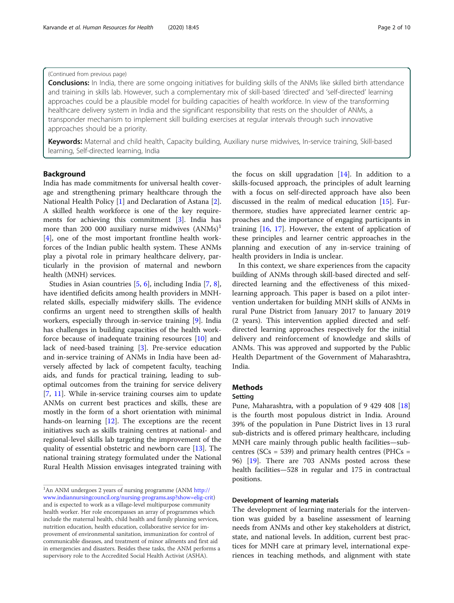#### (Continued from previous page)

**Conclusions:** In India, there are some ongoing initiatives for building skills of the ANMs like skilled birth attendance and training in skills lab. However, such a complementary mix of skill-based 'directed' and 'self-directed' learning approaches could be a plausible model for building capacities of health workforce. In view of the transforming healthcare delivery system in India and the significant responsibility that rests on the shoulder of ANMs, a transponder mechanism to implement skill building exercises at regular intervals through such innovative approaches should be a priority.

Keywords: Maternal and child health, Capacity building, Auxiliary nurse midwives, In-service training, Skill-based learning, Self-directed learning, India

#### Background

India has made commitments for universal health coverage and strengthening primary healthcare through the National Health Policy [[1\]](#page-8-0) and Declaration of Astana [\[2](#page-8-0)]. A skilled health workforce is one of the key requirements for achieving this commitment [\[3](#page-8-0)]. India has more than 200 000 auxiliary nurse midwives  $(ANMs)^1$ [[4\]](#page-8-0), one of the most important frontline health workforces of the Indian public health system. These ANMs play a pivotal role in primary healthcare delivery, particularly in the provision of maternal and newborn health (MNH) services.

Studies in Asian countries [\[5](#page-8-0), [6](#page-8-0)], including India [\[7](#page-8-0), [8](#page-8-0)], have identified deficits among health providers in MNHrelated skills, especially midwifery skills. The evidence confirms an urgent need to strengthen skills of health workers, especially through in-service training [[9\]](#page-8-0). India has challenges in building capacities of the health workforce because of inadequate training resources [[10](#page-8-0)] and lack of need-based training [\[3](#page-8-0)]. Pre-service education and in-service training of ANMs in India have been adversely affected by lack of competent faculty, teaching aids, and funds for practical training, leading to suboptimal outcomes from the training for service delivery [[7,](#page-8-0) [11\]](#page-8-0). While in-service training courses aim to update ANMs on current best practices and skills, these are mostly in the form of a short orientation with minimal hands-on learning [[12\]](#page-8-0). The exceptions are the recent initiatives such as skills training centres at national- and regional-level skills lab targeting the improvement of the quality of essential obstetric and newborn care [[13\]](#page-8-0). The national training strategy formulated under the National Rural Health Mission envisages integrated training with

the focus on skill upgradation  $[14]$ . In addition to a skills-focused approach, the principles of adult learning with a focus on self-directed approach have also been discussed in the realm of medical education [\[15](#page-9-0)]. Furthermore, studies have appreciated learner centric approaches and the importance of engaging participants in training [[16,](#page-9-0) [17](#page-9-0)]. However, the extent of application of these principles and learner centric approaches in the planning and execution of any in-service training of health providers in India is unclear.

In this context, we share experiences from the capacity building of ANMs through skill-based directed and selfdirected learning and the effectiveness of this mixedlearning approach. This paper is based on a pilot intervention undertaken for building MNH skills of ANMs in rural Pune District from January 2017 to January 2019 (2 years). This intervention applied directed and selfdirected learning approaches respectively for the initial delivery and reinforcement of knowledge and skills of ANMs. This was approved and supported by the Public Health Department of the Government of Maharashtra, India.

#### Methods

#### Setting

Pune, Maharashtra, with a population of 9 429 408 [[18](#page-9-0)] is the fourth most populous district in India. Around 39% of the population in Pune District lives in 13 rural sub-districts and is offered primary healthcare, including MNH care mainly through public health facilities—subcentres ( $SCs = 539$ ) and primary health centres ( $PHCs =$ 96) [\[19](#page-9-0)]. There are 703 ANMs posted across these health facilities—528 in regular and 175 in contractual positions.

#### Development of learning materials

The development of learning materials for the intervention was guided by a baseline assessment of learning needs from ANMs and other key stakeholders at district, state, and national levels. In addition, current best practices for MNH care at primary level, international experiences in teaching methods, and alignment with state

<sup>&</sup>lt;sup>1</sup>An ANM undergoes 2 years of nursing programme (ANM [http://](http://www.indiannursingcouncil.org/nursing-programs.asp?show=elig-crit) [www.indiannursingcouncil.org/nursing-programs.asp?show=elig-crit\)](http://www.indiannursingcouncil.org/nursing-programs.asp?show=elig-crit) and is expected to work as a village-level multipurpose community health worker. Her role encompasses an array of programmes which include the maternal health, child health and family planning services, nutrition education, health education, collaborative service for improvement of environmental sanitation, immunization for control of communicable diseases, and treatment of minor ailments and first aid in emergencies and disasters. Besides these tasks, the ANM performs a supervisory role to the Accredited Social Health Activist (ASHA).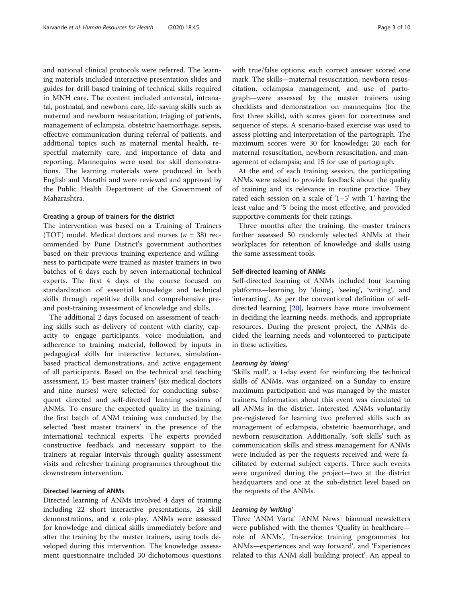and national clinical protocols were referred. The learning materials included interactive presentation slides and guides for drill-based training of technical skills required in MNH care. The content included antenatal, intranatal, postnatal, and newborn care, life-saving skills such as maternal and newborn resuscitation, triaging of patients, management of eclampsia, obstetric haemorrhage, sepsis, effective communication during referral of patients, and additional topics such as maternal mental health, respectful maternity care, and importance of data and reporting. Mannequins were used for skill demonstrations. The learning materials were produced in both English and Marathi and were reviewed and approved by the Public Health Department of the Government of Maharashtra.

#### Creating a group of trainers for the district

The intervention was based on a Training of Trainers (TOT) model. Medical doctors and nurses ( $n = 38$ ) recommended by Pune District's government authorities based on their previous training experience and willingness to participate were trained as master trainers in two batches of 6 days each by seven international technical experts. The first 4 days of the course focused on standardization of essential knowledge and technical skills through repetitive drills and comprehensive preand post-training assessment of knowledge and skills.

The additional 2 days focused on assessment of teaching skills such as delivery of content with clarity, capacity to engage participants, voice modulation, and adherence to training material, followed by inputs in pedagogical skills for interactive lectures, simulationbased practical demonstrations, and active engagement of all participants. Based on the technical and teaching assessment, 15 'best master trainers' (six medical doctors and nine nurses) were selected for conducting subsequent directed and self-directed learning sessions of ANMs. To ensure the expected quality in the training, the first batch of ANM training was conducted by the selected 'best master trainers' in the presence of the international technical experts. The experts provided constructive feedback and necessary support to the trainers at regular intervals through quality assessment visits and refresher training programmes throughout the downstream intervention.

#### Directed learning of ANMs

Directed learning of ANMs involved 4 days of training including 22 short interactive presentations, 24 skill demonstrations, and a role-play. ANMs were assessed for knowledge and clinical skills immediately before and after the training by the master trainers, using tools developed during this intervention. The knowledge assessment questionnaire included 30 dichotomous questions with true/false options; each correct answer scored one mark. The skills—maternal resuscitation, newborn resuscitation, eclampsia management, and use of partograph—were assessed by the master trainers using checklists and demonstration on mannequins (for the first three skills), with scores given for correctness and sequence of steps. A scenario-based exercise was used to assess plotting and interpretation of the partograph. The maximum scores were 30 for knowledge; 20 each for maternal resuscitation, newborn resuscitation, and management of eclampsia; and 15 for use of partograph.

At the end of each training session, the participating ANMs were asked to provide feedback about the quality of training and its relevance in routine practice. They rated each session on a scale of '1–5' with '1' having the least value and '5' being the most effective, and provided supportive comments for their ratings.

Three months after the training, the master trainers further assessed 50 randomly selected ANMs at their workplaces for retention of knowledge and skills using the same assessment tools.

#### Self-directed learning of ANMs

Self-directed learning of ANMs included four learning platforms—learning by 'doing', 'seeing', 'writing', and 'interacting'. As per the conventional definition of selfdirected learning [[20\]](#page-9-0), learners have more involvement in deciding the learning needs, methods, and appropriate resources. During the present project, the ANMs decided the learning needs and volunteered to participate in these activities.

#### Learning by 'doing'

'Skills mall', a 1-day event for reinforcing the technical skills of ANMs, was organized on a Sunday to ensure maximum participation and was managed by the master trainers. Information about this event was circulated to all ANMs in the district. Interested ANMs voluntarily pre-registered for learning two preferred skills such as management of eclampsia, obstetric haemorrhage, and newborn resuscitation. Additionally, 'soft skills' such as communication skills and stress management for ANMs were included as per the requests received and were facilitated by external subject experts. Three such events were organized during the project—two at the district headquarters and one at the sub-district level based on the requests of the ANMs.

#### Learning by 'writing'

Three 'ANM Varta' [ANM News] biannual newsletters were published with the themes 'Quality in healthcare role of ANMs', 'In-service training programmes for ANMs—experiences and way forward', and 'Experiences related to this ANM skill building project'. An appeal to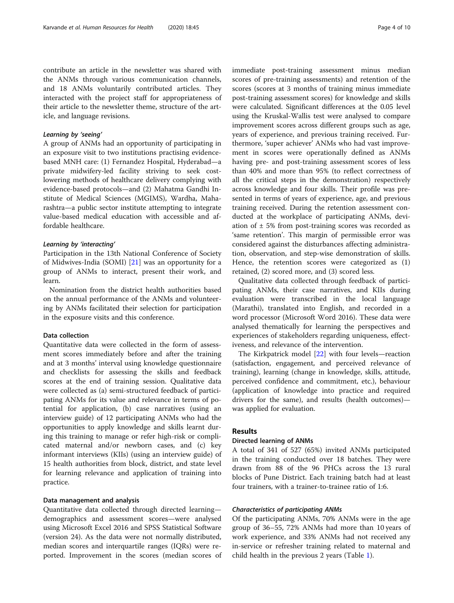#### Learning by 'seeing'

A group of ANMs had an opportunity of participating in an exposure visit to two institutions practising evidencebased MNH care: (1) Fernandez Hospital, Hyderabad—a private midwifery-led facility striving to seek costlowering methods of healthcare delivery complying with evidence-based protocols—and (2) Mahatma Gandhi Institute of Medical Sciences (MGIMS), Wardha, Maharashtra—a public sector institute attempting to integrate value-based medical education with accessible and affordable healthcare.

#### Learning by 'interacting'

Participation in the 13th National Conference of Society of Midwives-India (SOMI) [\[21](#page-9-0)] was an opportunity for a group of ANMs to interact, present their work, and learn.

Nomination from the district health authorities based on the annual performance of the ANMs and volunteering by ANMs facilitated their selection for participation in the exposure visits and this conference.

#### Data collection

Quantitative data were collected in the form of assessment scores immediately before and after the training and at 3 months' interval using knowledge questionnaire and checklists for assessing the skills and feedback scores at the end of training session. Qualitative data were collected as (a) semi-structured feedback of participating ANMs for its value and relevance in terms of potential for application, (b) case narratives (using an interview guide) of 12 participating ANMs who had the opportunities to apply knowledge and skills learnt during this training to manage or refer high-risk or complicated maternal and/or newborn cases, and (c) key informant interviews (KIIs) (using an interview guide) of 15 health authorities from block, district, and state level for learning relevance and application of training into practice.

#### Data management and analysis

Quantitative data collected through directed learning demographics and assessment scores—were analysed using Microsoft Excel 2016 and SPSS Statistical Software (version 24). As the data were not normally distributed, median scores and interquartile ranges (IQRs) were reported. Improvement in the scores (median scores of immediate post-training assessment minus median scores of pre-training assessments) and retention of the scores (scores at 3 months of training minus immediate post-training assessment scores) for knowledge and skills were calculated. Significant differences at the 0.05 level using the Kruskal-Wallis test were analysed to compare improvement scores across different groups such as age, years of experience, and previous training received. Furthermore, 'super achiever' ANMs who had vast improvement in scores were operationally defined as ANMs having pre- and post-training assessment scores of less than 40% and more than 95% (to reflect correctness of all the critical steps in the demonstration) respectively across knowledge and four skills. Their profile was presented in terms of years of experience, age, and previous training received. During the retention assessment conducted at the workplace of participating ANMs, deviation of  $\pm$  5% from post-training scores was recorded as 'same retention'. This margin of permissible error was considered against the disturbances affecting administration, observation, and step-wise demonstration of skills. Hence, the retention scores were categorized as (1) retained, (2) scored more, and (3) scored less.

Qualitative data collected through feedback of participating ANMs, their case narratives, and KIIs during evaluation were transcribed in the local language (Marathi), translated into English, and recorded in a word processor (Microsoft Word 2016). These data were analysed thematically for learning the perspectives and experiences of stakeholders regarding uniqueness, effectiveness, and relevance of the intervention.

The Kirkpatrick model [[22\]](#page-9-0) with four levels—reaction (satisfaction, engagement, and perceived relevance of training), learning (change in knowledge, skills, attitude, perceived confidence and commitment, etc.), behaviour (application of knowledge into practice and required drivers for the same), and results (health outcomes) was applied for evaluation.

#### Results

#### Directed learning of ANMs

A total of 341 of 527 (65%) invited ANMs participated in the training conducted over 18 batches. They were drawn from 88 of the 96 PHCs across the 13 rural blocks of Pune District. Each training batch had at least four trainers, with a trainer-to-trainee ratio of 1:6.

#### Characteristics of participating ANMs

Of the participating ANMs, 70% ANMs were in the age group of 36–55, 72% ANMs had more than 10 years of work experience, and 33% ANMs had not received any in-service or refresher training related to maternal and child health in the previous 2 years (Table [1\)](#page-4-0).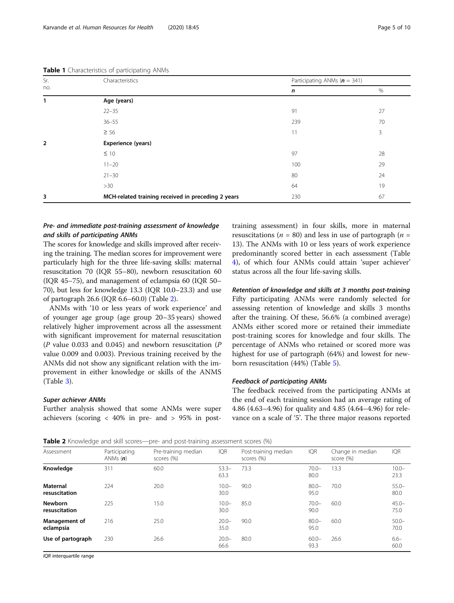| Sr.            | Characteristics                                    | Participating ANMs ( $n = 341$ ) |    |  |  |  |  |  |  |
|----------------|----------------------------------------------------|----------------------------------|----|--|--|--|--|--|--|
| no.            |                                                    | n                                | %  |  |  |  |  |  |  |
| 1              | Age (years)                                        |                                  |    |  |  |  |  |  |  |
|                | $22 - 35$                                          | 91                               | 27 |  |  |  |  |  |  |
|                | $36 - 55$                                          | 239                              | 70 |  |  |  |  |  |  |
|                | $\geq 56$                                          | 11                               | 3  |  |  |  |  |  |  |
| $\overline{2}$ | Experience (years)                                 |                                  |    |  |  |  |  |  |  |
|                | $\leq 10$                                          | 97                               | 28 |  |  |  |  |  |  |
|                | $11 - 20$                                          | 100                              | 29 |  |  |  |  |  |  |
|                | $21 - 30$                                          | 80                               | 24 |  |  |  |  |  |  |
|                | >30                                                | 64                               | 19 |  |  |  |  |  |  |
| 3              | MCH-related training received in preceding 2 years | 230                              | 67 |  |  |  |  |  |  |

<span id="page-4-0"></span>Table 1 Characteristics of participating ANMs

### Pre- and immediate post-training assessment of knowledge and skills of participating ANMs

The scores for knowledge and skills improved after receiving the training. The median scores for improvement were particularly high for the three life-saving skills: maternal resuscitation 70 (IQR 55–80), newborn resuscitation 60 (IQR 45–75), and management of eclampsia 60 (IQR 50– 70), but less for knowledge 13.3 (IQR 10.0–23.3) and use of partograph 26.6 (IQR 6.6–60.0) (Table 2).

ANMs with '10 or less years of work experience' and of younger age group (age group 20–35 years) showed relatively higher improvement across all the assessment with significant improvement for maternal resuscitation (P value 0.033 and 0.045) and newborn resuscitation (P value 0.009 and 0.003). Previous training received by the ANMs did not show any significant relation with the improvement in either knowledge or skills of the ANMS (Table [3\)](#page-5-0).

#### Super achiever ANMs

Further analysis showed that some ANMs were super achievers (scoring  $\langle 40\% \rangle$  in pre- and  $> 95\%$  in posttraining assessment) in four skills, more in maternal resuscitations ( $n = 80$ ) and less in use of partograph ( $n =$ 13). The ANMs with 10 or less years of work experience predominantly scored better in each assessment (Table [4\)](#page-5-0), of which four ANMs could attain 'super achiever' status across all the four life-saving skills.

Retention of knowledge and skills at 3 months post-training Fifty participating ANMs were randomly selected for assessing retention of knowledge and skills 3 months after the training. Of these, 56.6% (a combined average) ANMs either scored more or retained their immediate post-training scores for knowledge and four skills. The percentage of ANMs who retained or scored more was highest for use of partograph (64%) and lowest for newborn resuscitation (44%) (Table [5\)](#page-6-0).

#### Feedback of participating ANMs

The feedback received from the participating ANMs at the end of each training session had an average rating of 4.86 (4.63–4.96) for quality and 4.85 (4.64–4.96) for relevance on a scale of '5'. The three major reasons reported

Table 2 Knowledge and skill scores—pre- and post-training assessment scores (%)

| Assessment                      | Participating<br>ANMs $(n)$ | Pre-training median<br>scores (%) | <b>IQR</b>       | Post-training median<br>scores (%) | <b>IQR</b>       | Change in median<br>score (%) | <b>IQR</b>       |
|---------------------------------|-----------------------------|-----------------------------------|------------------|------------------------------------|------------------|-------------------------------|------------------|
| Knowledge                       | 311                         | 60.0                              | $53.3-$<br>63.3  | 73.3                               | $70.0 -$<br>80.0 | 13.3                          | $10.0 -$<br>23.3 |
| Maternal<br>resuscitation       | 224                         | 20.0                              | $10.0 -$<br>30.0 | 90.0                               | $80.0 -$<br>95.0 | 70.0                          | $55.0 -$<br>80.0 |
| <b>Newborn</b><br>resuscitation | 225                         | 15.0                              | $10.0 -$<br>30.0 | 85.0                               | $70.0 -$<br>90.0 | 60.0                          | $45.0 -$<br>75.0 |
| Management of<br>eclampsia      | 216                         | 25.0                              | $20.0 -$<br>35.0 | 90.0                               | $80.0 -$<br>95.0 | 60.0                          | $50.0 -$<br>70.0 |
| Use of partograph               | 230                         | 26.6                              | $20.0 -$<br>66.6 | 80.0                               | $60.0 -$<br>93.3 | 26.6                          | $6.6 -$<br>60.0  |

IQR interquartile range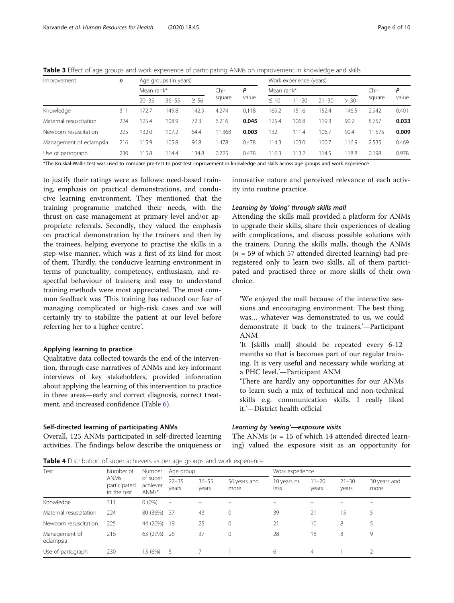<span id="page-5-0"></span>Table 3 Effect of age groups and work experience of participating ANMs on improvement in knowledge and skills

| Improvement             | n   | Age groups (in years) |           |           |        | Work experience (years) |           |           |           |       |        |       |
|-------------------------|-----|-----------------------|-----------|-----------|--------|-------------------------|-----------|-----------|-----------|-------|--------|-------|
|                         |     | Mean rank*            |           | Chi-<br>P |        | Mean rank*              |           |           |           |       | Ρ      |       |
|                         |     | $20 - 35$             | $36 - 55$ | $\geq 56$ | square | value                   | $\leq 10$ | $11 - 20$ | $21 - 30$ | > 30  | square | value |
| Knowledge               | 311 | 172.7                 | 149.8     | 142.9     | 4.274  | 0.118                   | 169.2     | 151.6     | 152.4     | 146.5 | 2.942  | 0.401 |
| Maternal resuscitation  | 224 | 125.4                 | 108.9     | 72.3      | 6.216  | 0.045                   | 125.4     | 106.8     | 19.3      | 90.2  | 8.757  | 0.033 |
| Newborn resuscitation   | 225 | 132.0                 | 107.2     | 64.4      | 11.368 | 0.003                   | 132       | 111.4     | 106.7     | 90.4  | 11.575 | 0.009 |
| Management of eclampsia | 216 | 115.9                 | 105.8     | 96.8      | .478   | 0.478                   | 114.3     | 103.0     | 100.7     | 16.9  | 2.535  | 0.469 |
| Use of partograph       | 230 | 115.8                 | 14.4      | 34.8      | 0.725  | 0.478                   | 116.3     | 113.2     | 14.5      | 18.8  | 0.198  | 0.978 |

\*The Kruskal-Wallis test was used to compare pre-test to post-test improvement in knowledge and skills across age groups and work experience

to justify their ratings were as follows: need-based training, emphasis on practical demonstrations, and conducive learning environment. They mentioned that the training programme matched their needs, with the thrust on case management at primary level and/or appropriate referrals. Secondly, they valued the emphasis on practical demonstration by the trainers and then by the trainees, helping everyone to practise the skills in a step-wise manner, which was a first of its kind for most of them. Thirdly, the conducive learning environment in terms of punctuality; competency, enthusiasm, and respectful behaviour of trainers; and easy to understand training methods were most appreciated. The most common feedback was 'This training has reduced our fear of managing complicated or high-risk cases and we will certainly try to stabilize the patient at our level before referring her to a higher centre'.

#### Applying learning to practice

Qualitative data collected towards the end of the intervention, through case narratives of ANMs and key informant interviews of key stakeholders, provided information about applying the learning of this intervention to practice in three areas—early and correct diagnosis, correct treatment, and increased confidence (Table [6\)](#page-6-0).

#### Self-directed learning of participating ANMs

Overall, 125 ANMs participated in self-directed learning activities. The findings below describe the uniqueness or

innovative nature and perceived relevance of each activity into routine practice.

#### Learning by 'doing' through skills mall

Attending the skills mall provided a platform for ANMs to upgrade their skills, share their experiences of dealing with complications, and discuss possible solutions with the trainers. During the skills malls, though the ANMs  $(n = 59$  of which 57 attended directed learning) had preregistered only to learn two skills, all of them participated and practised three or more skills of their own choice.

'We enjoyed the mall because of the interactive sessions and encouraging environment. The best thing was… whatever was demonstrated to us, we could demonstrate it back to the trainers.'—Participant ANM

'It [skills mall] should be repeated every 6-12 months so that is becomes part of our regular training. It is very useful and necessary while working at a PHC level.'—Participant ANM

'There are hardly any opportunities for our ANMs to learn such a mix of technical and non-technical skills e.g. communication skills. I really liked it.'—District health official

#### Learning by 'seeing'—exposure visits

The ANMs ( $n = 15$  of which 14 attended directed learning) valued the exposure visit as an opportunity for

Table 4 Distribution of super achievers as per age groups and work experience

| Test                       | Number of<br><b>ANMs</b><br>participated<br>in the test | Number                        | Age group                |                    |                      | Work experience     |                    |                    |                      |
|----------------------------|---------------------------------------------------------|-------------------------------|--------------------------|--------------------|----------------------|---------------------|--------------------|--------------------|----------------------|
|                            |                                                         | of super<br>achiever<br>ANMs* | $22 - 35$<br>years       | $36 - 55$<br>years | 56 years and<br>more | 10 years or<br>less | $11 - 20$<br>years | $21 - 30$<br>years | 30 years and<br>more |
| Knowledge                  | 311                                                     | $0(0\%)$                      | $\overline{\phantom{0}}$ |                    |                      |                     |                    |                    |                      |
| Maternal resuscitation     | 224                                                     | 80 (36%) 37                   |                          | 43                 | 0                    | 39                  | 21                 | 15                 | 5                    |
| Newborn resuscitation      | 225                                                     | 44 (20%)                      | 19                       | 25                 | 0                    | 21                  | 10 <sup>°</sup>    | 8                  | 5                    |
| Management of<br>eclampsia | 216                                                     | 63 (29%)                      | -26                      | 37                 | 0                    | 28                  | 18                 | 8                  | 9                    |
| Use of partograph          | 230                                                     | 13 (6%)                       | - 5                      |                    |                      | 6                   | 4                  |                    |                      |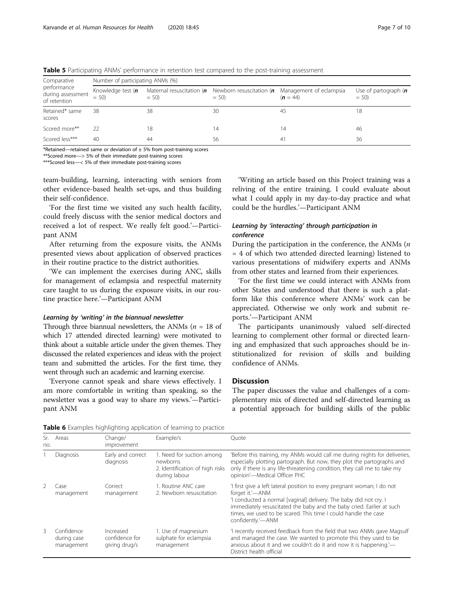| Comparative                                      | Number of participating ANMs (%) |        |        |                                                                                                                          |                                   |  |  |  |  |  |
|--------------------------------------------------|----------------------------------|--------|--------|--------------------------------------------------------------------------------------------------------------------------|-----------------------------------|--|--|--|--|--|
| performance<br>during assessment<br>of retention | Knowledge test (n<br>$= 50$      | $= 50$ | $= 50$ | Maternal resuscitation ( $\boldsymbol{n}$ Newborn resuscitation ( $\boldsymbol{n}$ Management of eclampsia<br>$(n = 44)$ | Use of partograph $(n)$<br>$= 50$ |  |  |  |  |  |
| Retained* same<br>scores                         | 38                               | 38     | 30     | 45                                                                                                                       | 18                                |  |  |  |  |  |
| Scored more**                                    | 22                               | 18     | 14     | 14                                                                                                                       | 46                                |  |  |  |  |  |
| Scored less***                                   | 40                               | 44     | 56     | 41                                                                                                                       | 36                                |  |  |  |  |  |

<span id="page-6-0"></span>**Table 5** Participating ANMs' performance in retention test compared to the post-training assessment

\*Retained—retained same or deviation of  $\pm$  5% from post-training scores

\*\*Scored more—> 5% of their immediate post-training scores

\*\*\*Scored less—< 5% of their immediate post-training scores

team-building, learning, interacting with seniors from other evidence-based health set-ups, and thus building their self-confidence.

'For the first time we visited any such health facility, could freely discuss with the senior medical doctors and received a lot of respect. We really felt good.'—Participant ANM

After returning from the exposure visits, the ANMs presented views about application of observed practices in their routine practice to the district authorities.

'We can implement the exercises during ANC, skills for management of eclampsia and respectful maternity care taught to us during the exposure visits, in our routine practice here.'—Participant ANM

#### Learning by 'writing' in the biannual newsletter

Through three biannual newsletters, the ANMs ( $n = 18$  of which 17 attended directed learning) were motivated to think about a suitable article under the given themes. They discussed the related experiences and ideas with the project team and submitted the articles. For the first time, they went through such an academic and learning exercise.

'Everyone cannot speak and share views effectively. I am more comfortable in writing than speaking, so the newsletter was a good way to share my views.'—Participant ANM

'Writing an article based on this Project training was a reliving of the entire training. I could evaluate about what I could apply in my day-to-day practice and what could be the hurdles.'—Participant ANM

### Learning by 'interacting' through participation in conference

During the participation in the conference, the ANMs  $(n)$ = 4 of which two attended directed learning) listened to various presentations of midwifery experts and ANMs from other states and learned from their experiences.

'For the first time we could interact with ANMs from other States and understood that there is such a platform like this conference where ANMs' work can be appreciated. Otherwise we only work and submit reports.'—Participant ANM

The participants unanimously valued self-directed learning to complement other formal or directed learning and emphasized that such approaches should be institutionalized for revision of skills and building confidence of ANMs.

### **Discussion**

The paper discusses the value and challenges of a complementary mix of directed and self-directed learning as a potential approach for building skills of the public

| no. | Sr. Areas                               | Change/<br>improvement                       | Example/s                                                                                 | Ouote                                                                                                                                                                                                                                                                                                                           |
|-----|-----------------------------------------|----------------------------------------------|-------------------------------------------------------------------------------------------|---------------------------------------------------------------------------------------------------------------------------------------------------------------------------------------------------------------------------------------------------------------------------------------------------------------------------------|
|     | <b>Diagnosis</b>                        | Early and correct<br>diagnosis               | 1. Need for suction among<br>newborns<br>2. Identification of high risks<br>during labour | 'Before this training, my ANMs would call me during nights for deliveries,<br>especially plotting partograph. But now, they plot the partographs and<br>only if there is any life-threatening condition, they call me to take my<br>opinion'-Medical Officer PHC                                                                |
|     | Case<br>management                      | Correct<br>management                        | 1. Routine ANC care<br>2. Newborn resuscitation                                           | 'I first give a left lateral position to every pregnant woman; I do not<br>forget it.'—ANM<br>'I conducted a normal [vaginal] delivery. The baby did not cry. I<br>immediately resuscitated the baby and the baby cried. Earlier at such<br>times, we used to be scared. This time I could handle the case<br>confidently.'-ANM |
|     | Confidence<br>during case<br>management | Increased<br>confidence for<br>giving drug/s | 1. Use of magnesium<br>sulphate for eclampsia<br>management                               | 'I recently received feedback from the field that two ANMs gave Magsulf<br>and managed the case. We wanted to promote this they used to be<br>anxious about it and we couldn't do it and now it is happening.'—<br>District health official                                                                                     |

Table 6 Examples highlighting application of learning to practice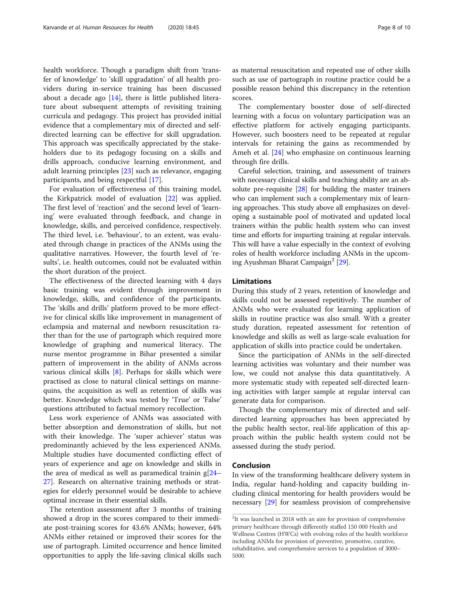health workforce. Though a paradigm shift from 'transfer of knowledge' to 'skill upgradation' of all health providers during in-service training has been discussed about a decade ago  $[14]$  $[14]$ , there is little published literature about subsequent attempts of revisiting training curricula and pedagogy. This project has provided initial evidence that a complementary mix of directed and selfdirected learning can be effective for skill upgradation. This approach was specifically appreciated by the stakeholders due to its pedagogy focusing on a skills and drills approach, conducive learning environment, and adult learning principles [\[23](#page-9-0)] such as relevance, engaging participants, and being respectful [[17\]](#page-9-0).

For evaluation of effectiveness of this training model, the Kirkpatrick model of evaluation [\[22](#page-9-0)] was applied. The first level of 'reaction' and the second level of 'learning' were evaluated through feedback, and change in knowledge, skills, and perceived confidence, respectively. The third level, i.e. 'behaviour', to an extent, was evaluated through change in practices of the ANMs using the qualitative narratives. However, the fourth level of 'results', i.e. health outcomes, could not be evaluated within the short duration of the project.

The effectiveness of the directed learning with 4 days basic training was evident through improvement in knowledge, skills, and confidence of the participants. The 'skills and drills' platform proved to be more effective for clinical skills like improvement in management of eclampsia and maternal and newborn resuscitation rather than for the use of partograph which required more knowledge of graphing and numerical literacy. The nurse mentor programme in Bihar presented a similar pattern of improvement in the ability of ANMs across various clinical skills [\[8\]](#page-8-0). Perhaps for skills which were practised as close to natural clinical settings on mannequins, the acquisition as well as retention of skills was better. Knowledge which was tested by 'True' or 'False' questions attributed to factual memory recollection.

Less work experience of ANMs was associated with better absorption and demonstration of skills, but not with their knowledge. The 'super achiever' status was predominantly achieved by the less experienced ANMs. Multiple studies have documented conflicting effect of years of experience and age on knowledge and skills in the area of medical as well as paramedical trainin g[[24](#page-9-0)– [27\]](#page-9-0). Research on alternative training methods or strategies for elderly personnel would be desirable to achieve optimal increase in their essential skills.

The retention assessment after 3 months of training showed a drop in the scores compared to their immediate post-training scores for 43.6% ANMs; however, 64% ANMs either retained or improved their scores for the use of partograph. Limited occurrence and hence limited opportunities to apply the life-saving clinical skills such as maternal resuscitation and repeated use of other skills such as use of partograph in routine practice could be a possible reason behind this discrepancy in the retention scores.

The complementary booster dose of self-directed learning with a focus on voluntary participation was an effective platform for actively engaging participants. However, such boosters need to be repeated at regular intervals for retaining the gains as recommended by Ameh et al. [[24](#page-9-0)] who emphasize on continuous learning through fire drills.

Careful selection, training, and assessment of trainers with necessary clinical skills and teaching ability are an absolute pre-requisite [[28](#page-9-0)] for building the master trainers who can implement such a complementary mix of learning approaches. This study above all emphasizes on developing a sustainable pool of motivated and updated local trainers within the public health system who can invest time and efforts for imparting training at regular intervals. This will have a value especially in the context of evolving roles of health workforce including ANMs in the upcom-ing Ayushman Bharat Campaign<sup>2</sup> [\[29](#page-9-0)].

#### Limitations

During this study of 2 years, retention of knowledge and skills could not be assessed repetitively. The number of ANMs who were evaluated for learning application of skills in routine practice was also small. With a greater study duration, repeated assessment for retention of knowledge and skills as well as large-scale evaluation for application of skills into practice could be undertaken.

Since the participation of ANMs in the self-directed learning activities was voluntary and their number was low, we could not analyse this data quantitatively. A more systematic study with repeated self-directed learning activities with larger sample at regular interval can generate data for comparison.

Though the complementary mix of directed and selfdirected learning approaches has been appreciated by the public health sector, real-life application of this approach within the public health system could not be assessed during the study period.

#### Conclusion

In view of the transforming healthcare delivery system in India, regular hand-holding and capacity building including clinical mentoring for health providers would be necessary [[29\]](#page-9-0) for seamless provision of comprehensive

<sup>&</sup>lt;sup>2</sup>It was launched in 2018 with an aim for provision of comprehensive primary healthcare through differently staffed 150 000 Health and Wellness Centres (HWCs) with evolving roles of the health workforce including ANMs for provision of preventive, promotive, curative, rehabilitative, and comprehensive services to a population of 3000– 5000.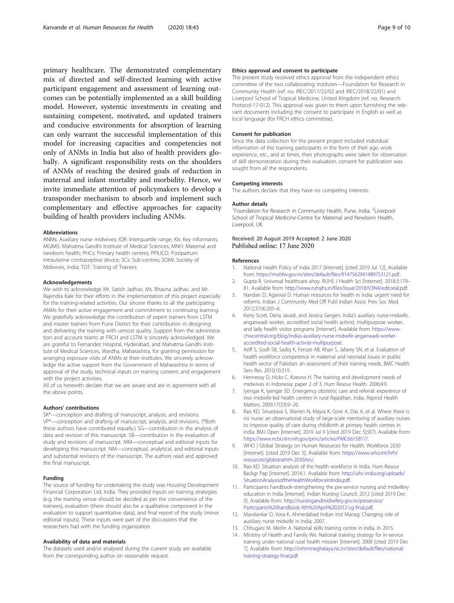<span id="page-8-0"></span>primary healthcare. The demonstrated complementary mix of directed and self-directed learning with active participant engagement and assessment of learning outcomes can be potentially implemented as a skill building model. However, systemic investments in creating and sustaining competent, motivated, and updated trainers and conducive environments for absorption of learning can only warrant the successful implementation of this model for increasing capacities and competencies not only of ANMs in India but also of health providers globally. A significant responsibility rests on the shoulders of ANMs of reaching the desired goals of reduction in maternal and infant mortality and morbidity. Hence, we invite immediate attention of policymakers to develop a transponder mechanism to absorb and implement such complementary and effective approaches for capacity building of health providers including ANMs.

#### Abbreviations

ANMs: Auxiliary nurse midwives; IQR: Interquartile range; KIs: Key informants; MGIMS: Mahatma Gandhi Institute of Medical Sciences; MNH: Maternal and newborn health; PHCs: Primary health centres; PPIUCD: Postpartum intrauterine contraceptive device; SCs: Sub-centres; SOMI: Society of Midwives, India; TOT: Training of Trainers

#### Acknowledgements

We wish to acknowledge Mr. Satish Jadhav, Ms. Bhavna Jadhav, and Mr. Rajendra Kale for their efforts in the implementation of this project especially for the training-related activities. Our sincere thanks to all the participating ANMs for their active engagement and commitment to continuing learning. We gratefully acknowledge the contribution of expert trainers from LSTM and master trainers from Pune District for their contribution in designing and delivering the training with utmost quality. Support from the administration and account teams at FRCH and LSTM is sincerely acknowledged. We are grateful to Fernandez Hospital, Hyderabad, and Mahatma Gandhi Institute of Medical Sciences, Wardha, Maharashtra, for granting permission for arranging exposure visits of ANMs at their institutes. We sincerely acknowledge the active support from the Government of Maharashtra in terms of approval of the study, technical inputs on training content, and engagement with the project activities.

All of us herewith declare that we are aware and are in agreement with all the above points.

#### Authors' contributions

SK\*—conception and drafting of manuscript, analysis, and revisions. VP\*—conception and drafting of manuscript, analysis, and revisions. (\*Both these authors have contributed equally.) SG—contribution in the analysis of data and revision of this manuscript. SB—contribution in the evaluation of study and revisions of manuscript. MM—conceptual and editorial inputs for developing this manuscript. NM—conceptual, analytical, and editorial inputs and substantial revisions of the manuscript. The authors read and approved the final manuscript.

#### Funding

The source of funding for undertaking the study was Housing Development Financial Corporation Ltd, India. They provided inputs on training strategies (e.g. the training venue should be decided as per the convenience of the trainees), evaluation (there should also be a qualitative component in the evaluation to support quantitative data), and final report of the study (minor editorial inputs). These inputs were part of the discussions that the researchers had with the funding organization.

#### Availability of data and materials

The datasets used and/or analysed during the current study are available from the corresponding author on reasonable request.

#### Ethics approval and consent to participate

The present study received ethics approval from the independent ethics committee of the two collaborating institutes—Foundation for Research in Community Health (ref. no. IREC/2017/22/02 and IREC/2018/22/01) and Liverpool School of Tropical Medicine, United Kingdom (ref. no. Research Protocol-17-012). This approval was given to them upon furnishing the relevant documents including the consent to participate in English as well as local language (for FRCH ethics committee).

#### Consent for publication

Since the data collection for the present project included individual information of the training participants in the form of their age, work experience, etc., and at times, their photographs were taken for observation of skill demonstration during their evaluation, consent for publication was sought from all the respondents.

#### Competing interests

The authors declare that they have no competing interests.

#### Author details

<sup>1</sup> Foundation for Research in Community Health, Pune, India. <sup>2</sup> Liverpool School of Tropical Medicine-Centre for Maternal and Newborn Health, Liverpool, UK.

## Received: 20 August 2019 Accepted: 2 June 2020

#### References

- 1. National Health Policy of India 2017 [Internet]. [cited 2019 Jul 12]. Available from: <https://mohfw.gov.in/sites/default/files/9147562941489753121.pdf>.
- 2. Gupta R. Universal healthcare ahoy. RUHS J Health Sci [Internet]. 2018;3:179– 81. Available from: <http://www.ruhsjhs.in/files/issue/2018/V3N4/editorial.pdf>.
- 3. Nandan D, Agarwal D. Human resources for health in India: urgent need for reforms. Indian J Community Med Off Publ Indian Assoc Prev Soc Med. 2012;37(4):205–6.
- 4. Kerry Scott, Dena Javadi, and Jessica Gergen. India's auxiliary nurse-midwife, anganwadi worker, accredited social health activist, multipurpose worker, and lady health visitor programs [Internet]. Available from: [https://www.](https://www.chwcentral.org/blog/indias-auxiliary-nurse-midwife-anganwadi-worker-accredited-social-health-activist-multipurpose) [chwcentral.org/blog/indias-auxiliary-nurse-midwife-anganwadi-worker](https://www.chwcentral.org/blog/indias-auxiliary-nurse-midwife-anganwadi-worker-accredited-social-health-activist-multipurpose)[accredited-social-health-activist-multipurpose](https://www.chwcentral.org/blog/indias-auxiliary-nurse-midwife-anganwadi-worker-accredited-social-health-activist-multipurpose).
- 5. Ariff S, Soofi SB, Sadiq K, Feroze AB, Khan S, Jafarey SN, et al. Evaluation of health workforce competence in maternal and neonatal issues in public health sector of Pakistan: an assessment of their training needs. BMC Health Serv Res. 2010;10:319.
- 6. Hennessy D, Hicks C, Koesno H. The training and development needs of midwives in Indonesia: paper 2 of 3. Hum Resour Health. 2006;4:9.
- 7. Iyengar K, Iyengar SD. Emergency obstetric care and referral: experience of two midwife-led health centres in rural Rajasthan. India. Reprod Health Matters. 2009;17(33):9–20.
- 8. Rao KD, Srivastava S, Warren N, Mayra K, Gore A, Das A, et al. Where there is no nurse: an observational study of large-scale mentoring of auxiliary nurses to improve quality of care during childbirth at primary health centres in India. BMJ Open [Internet]. 2019 Jul 9 [cited 2019 Dec 5];9(7). Available from: [https://www.ncbi.nlm.nih.gov/pmc/articles/PMC6615817/.](https://www.ncbi.nlm.nih.gov/pmc/articles/PMC6615817/)
- WHO | Global Strategy on Human Resources for Health: Workforce 2030 [Internet]. [cited 2019 Dec 5]. Available from: [https://www.who.int/hrh/](https://www.who.int/hrh/resources/globstrathrh-2030/en/) [resources/globstrathrh-2030/en/.](https://www.who.int/hrh/resources/globstrathrh-2030/en/)
- 10. Rao KD. Situation analysis of the health workforce in India. Hum Resour Backgr Pap [Internet]. 2014;1. Available from: [http://uhc-india.org/uploads/](http://uhc-india.org/uploads/SituationAnalysisoftheHealthWorkforceinIndia.pdf) [SituationAnalysisoftheHealthWorkforceinIndia.pdf](http://uhc-india.org/uploads/SituationAnalysisoftheHealthWorkforceinIndia.pdf).
- 11. Participants handbook-strengthening the pre-service nursing and midwifery education in India [Internet]. Indian Nursing Council; 2012 [cited 2019 Dec 5]. Available from: [http://nursingandmidwifery.gov.in/preservice/](http://nursingandmidwifery.gov.in/preservice/Participants%20handbook-9th%20April%202012-cg-final.pdf) [Participants%20handbook-9th%20April%202012-cg-final.pdf](http://nursingandmidwifery.gov.in/preservice/Participants%20handbook-9th%20April%202012-cg-final.pdf).
- 12. Mavalankar D. Vora K. Ahmedabad Indian Inst Manag: Changing role of auxiliary nurse midwife in India; 2007.
- 13. Chhugani M. Merlin A. National skills training centre in India. In 2015.
- 14. Ministry of Health and Family We. National training strategy for in-service training under national rural health mission [Internet]. 2008 [cited 2019 Dec 7]. Available from: [http://nrhmmeghalaya.nic.in/sites/default/files/national](http://nrhmmeghalaya.nic.in/sites/default/files/national-training-strategy-final.pdf)[training-strategy-final.pdf.](http://nrhmmeghalaya.nic.in/sites/default/files/national-training-strategy-final.pdf)